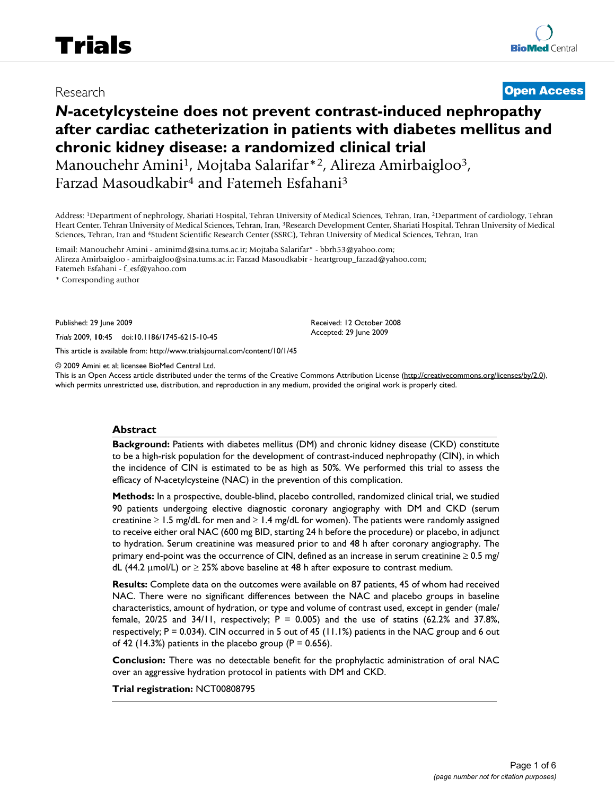# Research **[Open Access](http://www.biomedcentral.com/info/about/charter/)**

# *N***-acetylcysteine does not prevent contrast-induced nephropathy after cardiac catheterization in patients with diabetes mellitus and chronic kidney disease: a randomized clinical trial** Manouchehr Amini<sup>1</sup>, Mojtaba Salarifar<sup>\*2</sup>, Alireza Amirbaigloo<sup>3</sup>,

Farzad Masoudkabir4 and Fatemeh Esfahani3

Address: 1Department of nephrology, Shariati Hospital, Tehran University of Medical Sciences, Tehran, Iran, 2Department of cardiology, Tehran Heart Center, Tehran University of Medical Sciences, Tehran, Iran, 3Research Development Center, Shariati Hospital, Tehran University of Medical Sciences, Tehran, Iran and 4Student Scientific Research Center (SSRC), Tehran University of Medical Sciences, Tehran, Iran

Email: Manouchehr Amini - aminimd@sina.tums.ac.ir; Mojtaba Salarifar\* - bbrh53@yahoo.com; Alireza Amirbaigloo - amirbaigloo@sina.tums.ac.ir; Farzad Masoudkabir - heartgroup\_farzad@yahoo.com; Fatemeh Esfahani - f\_esf@yahoo.com

\* Corresponding author

Published: 29 June 2009

*Trials* 2009, **10**:45 doi:10.1186/1745-6215-10-45

[This article is available from: http://www.trialsjournal.com/content/10/1/45](http://www.trialsjournal.com/content/10/1/45)

© 2009 Amini et al; licensee BioMed Central Ltd.

This is an Open Access article distributed under the terms of the Creative Commons Attribution License [\(http://creativecommons.org/licenses/by/2.0\)](http://creativecommons.org/licenses/by/2.0), which permits unrestricted use, distribution, and reproduction in any medium, provided the original work is properly cited.

Received: 12 October 2008 Accepted: 29 June 2009

### **Abstract**

Background: Patients with diabetes mellitus (DM) and chronic kidney disease (CKD) constitute to be a high-risk population for the development of contrast-induced nephropathy (CIN), in which the incidence of CIN is estimated to be as high as 50%. We performed this trial to assess the efficacy of *N*-acetylcysteine (NAC) in the prevention of this complication.

**Methods:** In a prospective, double-blind, placebo controlled, randomized clinical trial, we studied 90 patients undergoing elective diagnostic coronary angiography with DM and CKD (serum creatinine ≥ 1.5 mg/dL for men and ≥ 1.4 mg/dL for women). The patients were randomly assigned to receive either oral NAC (600 mg BID, starting 24 h before the procedure) or placebo, in adjunct to hydration. Serum creatinine was measured prior to and 48 h after coronary angiography. The primary end-point was the occurrence of CIN, defined as an increase in serum creatinine  $\geq 0.5$  mg/ dL (44.2  $\mu$ mol/L) or  $\geq$  25% above baseline at 48 h after exposure to contrast medium.

**Results:** Complete data on the outcomes were available on 87 patients, 45 of whom had received NAC. There were no significant differences between the NAC and placebo groups in baseline characteristics, amount of hydration, or type and volume of contrast used, except in gender (male/ female,  $20/25$  and  $34/11$ , respectively; P = 0.005) and the use of statins (62.2% and 37.8%, respectively; P = 0.034). CIN occurred in 5 out of 45 (11.1%) patients in the NAC group and 6 out of 42 (14.3%) patients in the placebo group ( $P = 0.656$ ).

**Conclusion:** There was no detectable benefit for the prophylactic administration of oral NAC over an aggressive hydration protocol in patients with DM and CKD.

**Trial registration:** NCT00808795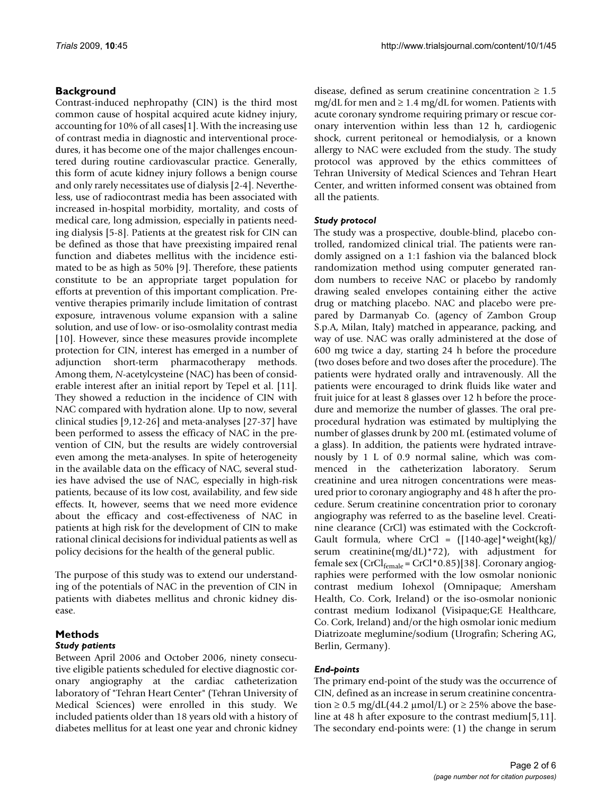# **Background**

Contrast-induced nephropathy (CIN) is the third most common cause of hospital acquired acute kidney injury, accounting for 10% of all cases[1]. With the increasing use of contrast media in diagnostic and interventional procedures, it has become one of the major challenges encountered during routine cardiovascular practice. Generally, this form of acute kidney injury follows a benign course and only rarely necessitates use of dialysis [2-4]. Nevertheless, use of radiocontrast media has been associated with increased in-hospital morbidity, mortality, and costs of medical care, long admission, especially in patients needing dialysis [5-8]. Patients at the greatest risk for CIN can be defined as those that have preexisting impaired renal function and diabetes mellitus with the incidence estimated to be as high as 50% [9]. Therefore, these patients constitute to be an appropriate target population for efforts at prevention of this important complication. Preventive therapies primarily include limitation of contrast exposure, intravenous volume expansion with a saline solution, and use of low- or iso-osmolality contrast media [10]. However, since these measures provide incomplete protection for CIN, interest has emerged in a number of adjunction short-term pharmacotherapy methods. Among them, *N*-acetylcysteine (NAC) has been of considerable interest after an initial report by Tepel et al. [11]. They showed a reduction in the incidence of CIN with NAC compared with hydration alone. Up to now, several clinical studies [9,12-26] and meta-analyses [27-37] have been performed to assess the efficacy of NAC in the prevention of CIN, but the results are widely controversial even among the meta-analyses. In spite of heterogeneity in the available data on the efficacy of NAC, several studies have advised the use of NAC, especially in high-risk patients, because of its low cost, availability, and few side effects. It, however, seems that we need more evidence about the efficacy and cost-effectiveness of NAC in patients at high risk for the development of CIN to make rational clinical decisions for individual patients as well as policy decisions for the health of the general public.

The purpose of this study was to extend our understanding of the potentials of NAC in the prevention of CIN in patients with diabetes mellitus and chronic kidney disease.

#### **Methods** *Study patients*

Between April 2006 and October 2006, ninety consecutive eligible patients scheduled for elective diagnostic coronary angiography at the cardiac catheterization laboratory of "Tehran Heart Center" (Tehran University of Medical Sciences) were enrolled in this study. We included patients older than 18 years old with a history of diabetes mellitus for at least one year and chronic kidney disease, defined as serum creatinine concentration  $\geq 1.5$ mg/dL for men and  $\geq 1.4$  mg/dL for women. Patients with acute coronary syndrome requiring primary or rescue coronary intervention within less than 12 h, cardiogenic shock, current peritoneal or hemodialysis, or a known allergy to NAC were excluded from the study. The study protocol was approved by the ethics committees of Tehran University of Medical Sciences and Tehran Heart Center, and written informed consent was obtained from all the patients.

# *Study protocol*

The study was a prospective, double-blind, placebo controlled, randomized clinical trial. The patients were randomly assigned on a 1:1 fashion via the balanced block randomization method using computer generated random numbers to receive NAC or placebo by randomly drawing sealed envelopes containing either the active drug or matching placebo. NAC and placebo were prepared by Darmanyab Co. (agency of Zambon Group S.p.A, Milan, Italy) matched in appearance, packing, and way of use. NAC was orally administered at the dose of 600 mg twice a day, starting 24 h before the procedure (two doses before and two doses after the procedure). The patients were hydrated orally and intravenously. All the patients were encouraged to drink fluids like water and fruit juice for at least 8 glasses over 12 h before the procedure and memorize the number of glasses. The oral preprocedural hydration was estimated by multiplying the number of glasses drunk by 200 mL (estimated volume of a glass). In addition, the patients were hydrated intravenously by 1 L of 0.9 normal saline, which was commenced in the catheterization laboratory. Serum creatinine and urea nitrogen concentrations were measured prior to coronary angiography and 48 h after the procedure. Serum creatinine concentration prior to coronary angiography was referred to as the baseline level. Creatinine clearance (CrCl) was estimated with the Cockcroft-Gault formula, where CrCl = ([140-age]\*weight(kg)/ serum creatinine(mg/dL)\*72), with adjustment for female sex  $(CrCl<sub>female</sub> = CrCl*0.85)[38]$ . Coronary angiographies were performed with the low osmolar nonionic contrast medium Iohexol (Omnipaque; Amersham Health, Co. Cork, Ireland) or the iso-osmolar nonionic contrast medium Iodixanol (Visipaque;GE Healthcare, Co. Cork, Ireland) and/or the high osmolar ionic medium Diatrizoate meglumine/sodium (Urografin; Schering AG, Berlin, Germany).

# *End-points*

The primary end-point of the study was the occurrence of CIN, defined as an increase in serum creatinine concentration  $\geq$  0.5 mg/dL(44.2  $\mu$ mol/L) or  $\geq$  25% above the baseline at 48 h after exposure to the contrast medium[5,11]. The secondary end-points were: (1) the change in serum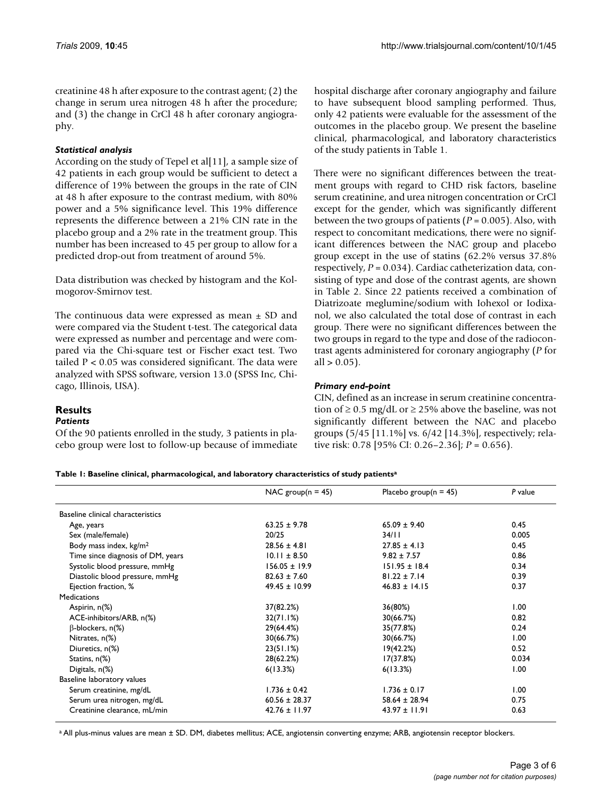creatinine 48 h after exposure to the contrast agent; (2) the change in serum urea nitrogen 48 h after the procedure; and (3) the change in CrCl 48 h after coronary angiography.

### *Statistical analysis*

According on the study of Tepel et al[11], a sample size of 42 patients in each group would be sufficient to detect a difference of 19% between the groups in the rate of CIN at 48 h after exposure to the contrast medium, with 80% power and a 5% significance level. This 19% difference represents the difference between a 21% CIN rate in the placebo group and a 2% rate in the treatment group. This number has been increased to 45 per group to allow for a predicted drop-out from treatment of around 5%.

Data distribution was checked by histogram and the Kolmogorov-Smirnov test.

The continuous data were expressed as mean  $\pm$  SD and were compared via the Student t-test. The categorical data were expressed as number and percentage and were compared via the Chi-square test or Fischer exact test. Two tailed P < 0.05 was considered significant. The data were analyzed with SPSS software, version 13.0 (SPSS Inc, Chicago, Illinois, USA).

# **Results**

### *Patients*

Of the 90 patients enrolled in the study, 3 patients in placebo group were lost to follow-up because of immediate hospital discharge after coronary angiography and failure to have subsequent blood sampling performed. Thus, only 42 patients were evaluable for the assessment of the outcomes in the placebo group. We present the baseline clinical, pharmacological, and laboratory characteristics of the study patients in Table 1.

There were no significant differences between the treatment groups with regard to CHD risk factors, baseline serum creatinine, and urea nitrogen concentration or CrCl except for the gender, which was significantly different between the two groups of patients (*P* = 0.005). Also, with respect to concomitant medications, there were no significant differences between the NAC group and placebo group except in the use of statins (62.2% versus 37.8% respectively,  $P = 0.034$ ). Cardiac catheterization data, consisting of type and dose of the contrast agents, are shown in Table 2. Since 22 patients received a combination of Diatrizoate meglumine/sodium with Iohexol or Iodixanol, we also calculated the total dose of contrast in each group. There were no significant differences between the two groups in regard to the type and dose of the radiocontrast agents administered for coronary angiography (*P* for  $all > 0.05$ ).

# *Primary end-point*

CIN, defined as an increase in serum creatinine concentration of  $\geq$  0.5 mg/dL or  $\geq$  25% above the baseline, was not significantly different between the NAC and placebo groups (5/45 [11.1%] vs. 6/42 [14.3%], respectively; relative risk: 0.78 [95% CI: 0.26–2.36]; *P* = 0.656).

**Table 1: Baseline clinical, pharmacological, and laboratory characteristics of study patientsa**

|                                    | $NAC$ group(n = 45) | Placebo group( $n = 45$ ) | P value |
|------------------------------------|---------------------|---------------------------|---------|
| Baseline clinical characteristics  |                     |                           |         |
| Age, years                         | $63.25 \pm 9.78$    | $65.09 \pm 9.40$          | 0.45    |
| Sex (male/female)                  | 20/25               | 34/11                     | 0.005   |
| Body mass index, kg/m <sup>2</sup> | $28.56 \pm 4.81$    | $27.85 \pm 4.13$          | 0.45    |
| Time since diagnosis of DM, years  | $10.11 \pm 8.50$    | $9.82 \pm 7.57$           | 0.86    |
| Systolic blood pressure, mmHg      | $156.05 \pm 19.9$   | $151.95 \pm 18.4$         | 0.34    |
| Diastolic blood pressure, mmHg     | $82.63 \pm 7.60$    | $81.22 \pm 7.14$          | 0.39    |
| Ejection fraction, %               | $49.45 \pm 10.99$   | $46.83 \pm 14.15$         | 0.37    |
| Medications                        |                     |                           |         |
| Aspirin, n(%)                      | 37(82.2%)           | 36(80%)                   | 1.00    |
| ACE-inhibitors/ARB, n(%)           | 32(71.1%)           | 30(66.7%)                 | 0.82    |
| $\beta$ -blockers, n(%)            | 29(64.4%)           | 35(77.8%)                 | 0.24    |
| Nitrates, n(%)                     | 30(66.7%)           | 30(66.7%)                 | 1.00    |
| Diuretics, n(%)                    | 23(51.1%)           | 19(42.2%)                 | 0.52    |
| Statins, n(%)                      | 28(62.2%)           | 17(37.8%)                 | 0.034   |
| Digitals, n(%)                     | 6(13.3%)            | 6(13.3%)                  | 1.00    |
| Baseline laboratory values         |                     |                           |         |
| Serum creatinine, mg/dL            | $1.736 \pm 0.42$    | $1.736 \pm 0.17$          | 1.00    |
| Serum urea nitrogen, mg/dL         | $60.56 \pm 28.37$   | $58.64 \pm 28.94$         | 0.75    |
| Creatinine clearance, mL/min       | $42.76 \pm 11.97$   | $43.97 \pm 11.91$         | 0.63    |

a All plus-minus values are mean ± SD. DM, diabetes mellitus; ACE, angiotensin converting enzyme; ARB, angiotensin receptor blockers.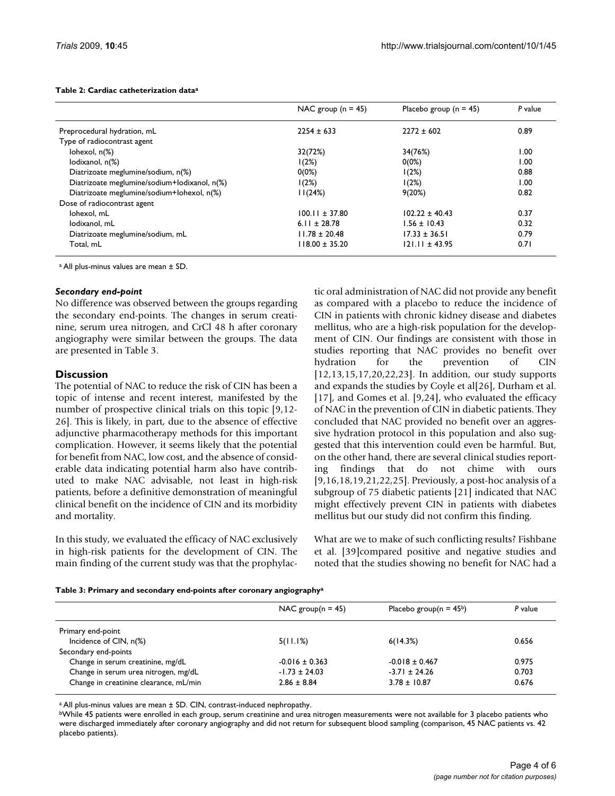#### **Table 2: Cardiac catheterization dataa**

|                                              | NAC group ( $n = 45$ ) | Placebo group ( $n = 45$ ) | P value |
|----------------------------------------------|------------------------|----------------------------|---------|
| Preprocedural hydration, mL                  | $2254 \pm 633$         | $2272 \pm 602$             | 0.89    |
| Type of radiocontrast agent                  |                        |                            |         |
| lohexol, $n\%$                               | 32(72%)                | 34(76%)                    | 0.00    |
| lodixanol, n(%)                              | 1(2%)                  | $0(0\%)$                   | 1.00    |
| Diatrizoate meglumine/sodium, n(%)           | $0(0\%)$               | 1(2%)                      | 0.88    |
| Diatrizoate meglumine/sodium+lodixanol, n(%) | 1(2%)                  | 1(2%)                      | 1.00    |
| Diatrizoate meglumine/sodium+lohexol, n(%)   | 11(24%)                | 9(20%)                     | 0.82    |
| Dose of radiocontrast agent                  |                        |                            |         |
| lohexol. mL                                  | $100.11 \pm 37.80$     | $102.22 + 40.43$           | 0.37    |
| lodixanol, mL                                | 6.11 $\pm$ 28.78       | $1.56 \pm 10.43$           | 0.32    |
| Diatrizoate meglumine/sodium, mL             | $11.78 \pm 20.48$      | $17.33 \pm 36.51$          | 0.79    |
| Total, mL                                    | $118.00 \pm 35.20$     | $121.11 + 43.95$           | 0.71    |

<sup>a</sup> All plus-minus values are mean ± SD.

#### *Secondary end-point*

No difference was observed between the groups regarding the secondary end-points. The changes in serum creatinine, serum urea nitrogen, and CrCl 48 h after coronary angiography were similar between the groups. The data are presented in Table 3.

#### **Discussion**

The potential of NAC to reduce the risk of CIN has been a topic of intense and recent interest, manifested by the number of prospective clinical trials on this topic [9,12- 26]. This is likely, in part, due to the absence of effective adjunctive pharmacotherapy methods for this important complication. However, it seems likely that the potential for benefit from NAC, low cost, and the absence of considerable data indicating potential harm also have contributed to make NAC advisable, not least in high-risk patients, before a definitive demonstration of meaningful clinical benefit on the incidence of CIN and its morbidity and mortality.

In this study, we evaluated the efficacy of NAC exclusively in high-risk patients for the development of CIN. The main finding of the current study was that the prophylactic oral administration of NAC did not provide any benefit as compared with a placebo to reduce the incidence of CIN in patients with chronic kidney disease and diabetes mellitus, who are a high-risk population for the development of CIN. Our findings are consistent with those in studies reporting that NAC provides no benefit over hydration for the prevention of CIN [12,13,15,17,20,22,23]. In addition, our study supports and expands the studies by Coyle et al[26], Durham et al. [17], and Gomes et al. [9,24], who evaluated the efficacy of NAC in the prevention of CIN in diabetic patients. They concluded that NAC provided no benefit over an aggressive hydration protocol in this population and also suggested that this intervention could even be harmful. But, on the other hand, there are several clinical studies reporting findings that do not chime with ours [9,16,18,19,21,22,25]. Previously, a post-hoc analysis of a subgroup of 75 diabetic patients [21] indicated that NAC might effectively prevent CIN in patients with diabetes mellitus but our study did not confirm this finding.

What are we to make of such conflicting results? Fishbane et al. [39]compared positive and negative studies and noted that the studies showing no benefit for NAC had a

|  | Table 3: Primary and secondary end-points after coronary angiography <sup>a</sup> |  |
|--|-----------------------------------------------------------------------------------|--|
|  |                                                                                   |  |

|                                        | NAC group( $n = 45$ ) | Placebo group( $n = 45b$ ) | P value |
|----------------------------------------|-----------------------|----------------------------|---------|
| Primary end-point                      |                       |                            |         |
| Incidence of $CIN$ , $n(\%)$           | 5(11.1%)              | 6(14.3%)                   | 0.656   |
| Secondary end-points                   |                       |                            |         |
| Change in serum creatinine, mg/dL      | $-0.016 \pm 0.363$    | $-0.018 \pm 0.467$         | 0.975   |
| Change in serum urea nitrogen, mg/dL   | $-1.73 \pm 24.03$     | $-3.71 \pm 24.26$          | 0.703   |
| Change in creatinine clearance, mL/min | $2.86 \pm 8.84$       | $3.78 \pm 10.87$           | 0.676   |

a All plus-minus values are mean  $\pm$  SD. CIN, contrast-induced nephropathy.

bWhile 45 patients were enrolled in each group, serum creatinine and urea nitrogen measurements were not available for 3 placebo patients who were discharged immediately after coronary angiography and did not return for subsequent blood sampling (comparison, 45 NAC patients vs. 42 placebo patients).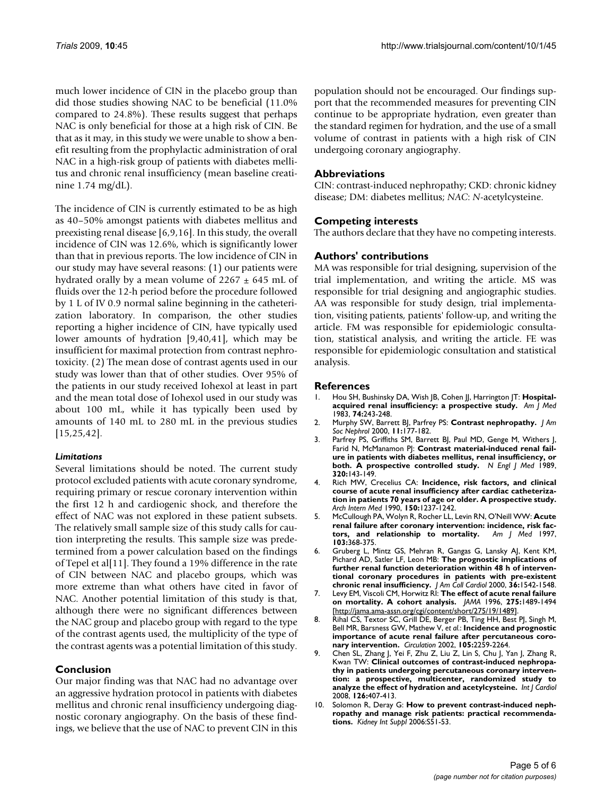much lower incidence of CIN in the placebo group than did those studies showing NAC to be beneficial (11.0% compared to 24.8%). These results suggest that perhaps NAC is only beneficial for those at a high risk of CIN. Be that as it may, in this study we were unable to show a benefit resulting from the prophylactic administration of oral NAC in a high-risk group of patients with diabetes mellitus and chronic renal insufficiency (mean baseline creatinine 1.74 mg/dL).

The incidence of CIN is currently estimated to be as high as 40–50% amongst patients with diabetes mellitus and preexisting renal disease [6,9,16]. In this study, the overall incidence of CIN was 12.6%, which is significantly lower than that in previous reports. The low incidence of CIN in our study may have several reasons: (1) our patients were hydrated orally by a mean volume of  $2267 \pm 645$  mL of fluids over the 12-h period before the procedure followed by 1 L of IV 0.9 normal saline beginning in the catheterization laboratory. In comparison, the other studies reporting a higher incidence of CIN, have typically used lower amounts of hydration [9,40,41], which may be insufficient for maximal protection from contrast nephrotoxicity. (2) The mean dose of contrast agents used in our study was lower than that of other studies. Over 95% of the patients in our study received Iohexol at least in part and the mean total dose of Iohexol used in our study was about 100 mL, while it has typically been used by amounts of 140 mL to 280 mL in the previous studies [15,25,42].

#### *Limitations*

Several limitations should be noted. The current study protocol excluded patients with acute coronary syndrome, requiring primary or rescue coronary intervention within the first 12 h and cardiogenic shock, and therefore the effect of NAC was not explored in these patient subsets. The relatively small sample size of this study calls for caution interpreting the results. This sample size was predetermined from a power calculation based on the findings of Tepel et al[11]. They found a 19% difference in the rate of CIN between NAC and placebo groups, which was more extreme than what others have cited in favor of NAC. Another potential limitation of this study is that, although there were no significant differences between the NAC group and placebo group with regard to the type of the contrast agents used, the multiplicity of the type of the contrast agents was a potential limitation of this study.

# **Conclusion**

Our major finding was that NAC had no advantage over an aggressive hydration protocol in patients with diabetes mellitus and chronic renal insufficiency undergoing diagnostic coronary angiography. On the basis of these findings, we believe that the use of NAC to prevent CIN in this population should not be encouraged. Our findings support that the recommended measures for preventing CIN continue to be appropriate hydration, even greater than the standard regimen for hydration, and the use of a small volume of contrast in patients with a high risk of CIN undergoing coronary angiography.

# **Abbreviations**

CIN: contrast-induced nephropathy; CKD: chronic kidney disease; DM: diabetes mellitus; *NAC*: *N*-acetylcysteine.

# **Competing interests**

The authors declare that they have no competing interests.

#### **Authors' contributions**

MA was responsible for trial designing, supervision of the trial implementation, and writing the article. MS was responsible for trial designing and angiographic studies. AA was responsible for study design, trial implementation, visiting patients, patients' follow-up, and writing the article. FM was responsible for epidemiologic consultation, statistical analysis, and writing the article. FE was responsible for epidemiologic consultation and statistical analysis.

#### **References**

- Hou SH, Bushinsky DA, Wish JB, Cohen JJ, Harrington JT: [Hospital](http://www.ncbi.nlm.nih.gov/entrez/query.fcgi?cmd=Retrieve&db=PubMed&dopt=Abstract&list_uids=6824004)**[acquired renal insufficiency: a prospective study.](http://www.ncbi.nlm.nih.gov/entrez/query.fcgi?cmd=Retrieve&db=PubMed&dopt=Abstract&list_uids=6824004)** *Am J Med* 1983, **74:**243-248.
- 2. Murphy SW, Barrett BJ, Parfrey PS: **[Contrast nephropathy.](http://www.ncbi.nlm.nih.gov/entrez/query.fcgi?cmd=Retrieve&db=PubMed&dopt=Abstract&list_uids=10616853)** *J Am Soc Nephrol* 2000, **11:**177-182.
- 3. Parfrey PS, Griffiths SM, Barrett BJ, Paul MD, Genge M, Withers J, Farid N, McManamon P|: [Contrast material-induced renal fail](http://www.ncbi.nlm.nih.gov/entrez/query.fcgi?cmd=Retrieve&db=PubMed&dopt=Abstract&list_uids=2643041)**[ure in patients with diabetes mellitus, renal insufficiency, or](http://www.ncbi.nlm.nih.gov/entrez/query.fcgi?cmd=Retrieve&db=PubMed&dopt=Abstract&list_uids=2643041) [both. A prospective controlled study.](http://www.ncbi.nlm.nih.gov/entrez/query.fcgi?cmd=Retrieve&db=PubMed&dopt=Abstract&list_uids=2643041)** *N Engl J Med* 1989, **320:**143-149.
- 4. Rich MW, Crecelius CA: **[Incidence, risk factors, and clinical](http://www.ncbi.nlm.nih.gov/entrez/query.fcgi?cmd=Retrieve&db=PubMed&dopt=Abstract&list_uids=2353856) [course of acute renal insufficiency after cardiac catheteriza](http://www.ncbi.nlm.nih.gov/entrez/query.fcgi?cmd=Retrieve&db=PubMed&dopt=Abstract&list_uids=2353856)tion in patients 70 years of age or older. A prospective study.** *Arch Intern Med* 1990, **150:**1237-1242.
- 5. McCullough PA, Wolyn R, Rocher LL, Levin RN, O'Neill WW: **[Acute](http://www.ncbi.nlm.nih.gov/entrez/query.fcgi?cmd=Retrieve&db=PubMed&dopt=Abstract&list_uids=9375704) [renal failure after coronary intervention: incidence, risk fac](http://www.ncbi.nlm.nih.gov/entrez/query.fcgi?cmd=Retrieve&db=PubMed&dopt=Abstract&list_uids=9375704)[tors, and relationship to mortality.](http://www.ncbi.nlm.nih.gov/entrez/query.fcgi?cmd=Retrieve&db=PubMed&dopt=Abstract&list_uids=9375704)** *Am J Med* 1997, **103:**368-375.
- 6. Gruberg L, Mintz GS, Mehran R, Gangas G, Lansky AJ, Kent KM, Pichard AD, Satler LF, Leon MB: **[The prognostic implications of](http://www.ncbi.nlm.nih.gov/entrez/query.fcgi?cmd=Retrieve&db=PubMed&dopt=Abstract&list_uids=11079656) [further renal function deterioration within 48 h of interven](http://www.ncbi.nlm.nih.gov/entrez/query.fcgi?cmd=Retrieve&db=PubMed&dopt=Abstract&list_uids=11079656)tional coronary procedures in patients with pre-existent [chronic renal insufficiency.](http://www.ncbi.nlm.nih.gov/entrez/query.fcgi?cmd=Retrieve&db=PubMed&dopt=Abstract&list_uids=11079656)** *J Am Coll Cardiol* 2000, **36:**1542-1548.
- 7. Levy EM, Viscoli CM, Horwitz RI: **[The effect of acute renal failure](http://www.ncbi.nlm.nih.gov/entrez/query.fcgi?cmd=Retrieve&db=PubMed&dopt=Abstract&list_uids=8622223) [on mortality. A cohort analysis.](http://www.ncbi.nlm.nih.gov/entrez/query.fcgi?cmd=Retrieve&db=PubMed&dopt=Abstract&list_uids=8622223)** *JAMA* 1996, **275:**1489-1494 [<http://jama.ama-assn.org/cgi/content/short/275/19/1489>].
- 8. Rihal CS, Textor SC, Grill DE, Berger PB, Ting HH, Best PJ, Singh M, Bell MR, Barsness GW, Mathew V, *et al.*: **[Incidence and prognostic](http://www.ncbi.nlm.nih.gov/entrez/query.fcgi?cmd=Retrieve&db=PubMed&dopt=Abstract&list_uids=12010907) [importance of acute renal failure after percutaneous coro](http://www.ncbi.nlm.nih.gov/entrez/query.fcgi?cmd=Retrieve&db=PubMed&dopt=Abstract&list_uids=12010907)[nary intervention.](http://www.ncbi.nlm.nih.gov/entrez/query.fcgi?cmd=Retrieve&db=PubMed&dopt=Abstract&list_uids=12010907)** *Circulation* 2002, **105:**2259-2264.
- 9. Chen SL, Zhang J, Yei F, Zhu Z, Liu Z, Lin S, Chu J, Yan J, Zhang R, Kwan TW: **[Clinical outcomes of contrast-induced nephropa](http://www.ncbi.nlm.nih.gov/entrez/query.fcgi?cmd=Retrieve&db=PubMed&dopt=Abstract&list_uids=17651830)[thy in patients undergoing percutaneous coronary interven](http://www.ncbi.nlm.nih.gov/entrez/query.fcgi?cmd=Retrieve&db=PubMed&dopt=Abstract&list_uids=17651830)tion: a prospective, multicenter, randomized study to [analyze the effect of hydration and acetylcysteine.](http://www.ncbi.nlm.nih.gov/entrez/query.fcgi?cmd=Retrieve&db=PubMed&dopt=Abstract&list_uids=17651830)** *Int J Cardiol* 2008, **126:**407-413.
- 10. Solomon R, Deray G: **[How to prevent contrast-induced neph](http://www.ncbi.nlm.nih.gov/entrez/query.fcgi?cmd=Retrieve&db=PubMed&dopt=Abstract&list_uids=16612402)[ropathy and manage risk patients: practical recommenda](http://www.ncbi.nlm.nih.gov/entrez/query.fcgi?cmd=Retrieve&db=PubMed&dopt=Abstract&list_uids=16612402)[tions.](http://www.ncbi.nlm.nih.gov/entrez/query.fcgi?cmd=Retrieve&db=PubMed&dopt=Abstract&list_uids=16612402)** *Kidney Int Suppl* 2006:S51-53.